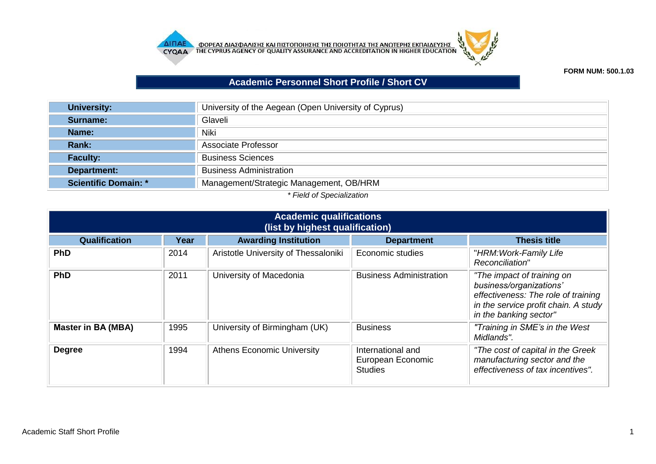



## **FORM NUM: 500.1.03**

## **Academic Personnel Short Profile / Short CV**

| <b>University:</b>          | University of the Aegean (Open University of Cyprus) |  |  |  |
|-----------------------------|------------------------------------------------------|--|--|--|
| Surname:                    | Glaveli                                              |  |  |  |
| Name:                       | <b>Niki</b>                                          |  |  |  |
| <b>Rank:</b>                | Associate Professor                                  |  |  |  |
| <b>Faculty:</b>             | <b>Business Sciences</b>                             |  |  |  |
| Department:                 | <b>Business Administration</b>                       |  |  |  |
| <b>Scientific Domain: *</b> | Management/Strategic Management, OB/HRM              |  |  |  |
|                             |                                                      |  |  |  |

## *\* Field of Specialization*

| <b>Academic qualifications</b><br>(list by highest qualification) |                                 |                                      |                                                          |                                                                                                                                                                |  |  |
|-------------------------------------------------------------------|---------------------------------|--------------------------------------|----------------------------------------------------------|----------------------------------------------------------------------------------------------------------------------------------------------------------------|--|--|
| Qualification                                                     | Year                            | <b>Awarding Institution</b>          | <b>Department</b>                                        | <b>Thesis title</b>                                                                                                                                            |  |  |
| <b>PhD</b>                                                        | 2014                            | Aristotle University of Thessaloniki | Economic studies                                         | "HRM: Work-Family Life<br>Reconciliation"                                                                                                                      |  |  |
| <b>PhD</b>                                                        | 2011<br>University of Macedonia |                                      | <b>Business Administration</b>                           | "The impact of training on<br>business/organizations'<br>effectiveness: The role of training<br>in the service profit chain. A study<br>in the banking sector" |  |  |
| <b>Master in BA (MBA)</b>                                         | 1995                            | University of Birmingham (UK)        | <b>Business</b>                                          | "Training in SME's in the West<br>Midlands".                                                                                                                   |  |  |
| <b>Degree</b>                                                     | 1994                            | <b>Athens Economic University</b>    | International and<br>European Economic<br><b>Studies</b> | "The cost of capital in the Greek<br>manufacturing sector and the<br>effectiveness of tax incentives".                                                         |  |  |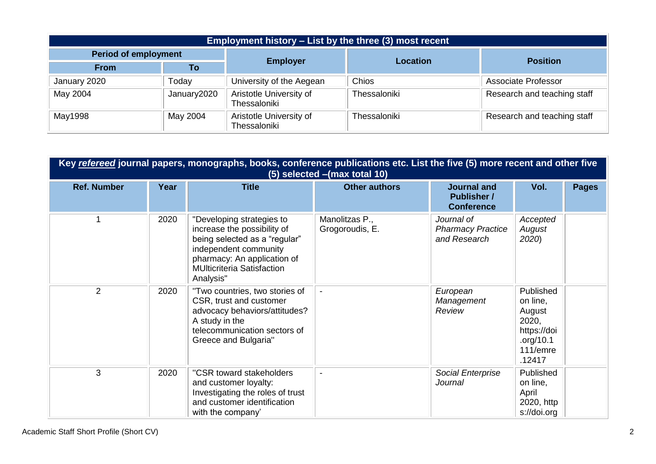| <b>Employment history – List by the three (3) most recent</b> |             |                                         |                 |                             |  |  |  |
|---------------------------------------------------------------|-------------|-----------------------------------------|-----------------|-----------------------------|--|--|--|
| <b>Period of employment</b>                                   |             | <b>Employer</b>                         | <b>Location</b> |                             |  |  |  |
| <b>From</b>                                                   | To          |                                         |                 | <b>Position</b>             |  |  |  |
| January 2020                                                  | Today       | University of the Aegean                | Chios           | <b>Associate Professor</b>  |  |  |  |
| May 2004                                                      | January2020 | Aristotle University of<br>Thessaloniki | Thessaloniki    | Research and teaching staff |  |  |  |
| May1998                                                       | May 2004    | Aristotle University of<br>Thessaloniki | Thessaloniki    | Research and teaching staff |  |  |  |

|                    | Key refereed journal papers, monographs, books, conference publications etc. List the five (5) more recent and other five<br>(5) selected - (max total 10) |                                                                                                                                                                                                     |                                   |                                                               |                                                                                            |              |  |
|--------------------|------------------------------------------------------------------------------------------------------------------------------------------------------------|-----------------------------------------------------------------------------------------------------------------------------------------------------------------------------------------------------|-----------------------------------|---------------------------------------------------------------|--------------------------------------------------------------------------------------------|--------------|--|
| <b>Ref. Number</b> | Year                                                                                                                                                       | <b>Title</b>                                                                                                                                                                                        | <b>Other authors</b>              | <b>Journal and</b><br><b>Publisher /</b><br><b>Conference</b> | Vol.                                                                                       | <b>Pages</b> |  |
|                    | 2020                                                                                                                                                       | "Developing strategies to<br>increase the possibility of<br>being selected as a "regular"<br>independent community<br>pharmacy: An application of<br><b>MUlticriteria Satisfaction</b><br>Analysis" | Manolitzas P.,<br>Grogoroudis, E. | Journal of<br><b>Pharmacy Practice</b><br>and Research        | Accepted<br>August<br>2020)                                                                |              |  |
| 2                  | 2020                                                                                                                                                       | "Two countries, two stories of<br>CSR, trust and customer<br>advocacy behaviors/attitudes?<br>A study in the<br>telecommunication sectors of<br>Greece and Bulgaria"                                | $\blacksquare$                    | European<br>Management<br>Review                              | Published<br>on line,<br>August<br>2020,<br>https://doi<br>.org/10.1<br>111/emre<br>.12417 |              |  |
| 3                  | 2020                                                                                                                                                       | "CSR toward stakeholders<br>and customer loyalty:<br>Investigating the roles of trust<br>and customer identification<br>with the company'                                                           | $\blacksquare$                    | Social Enterprise<br>Journal                                  | Published<br>on line,<br>April<br>2020, http<br>s://doi.org                                |              |  |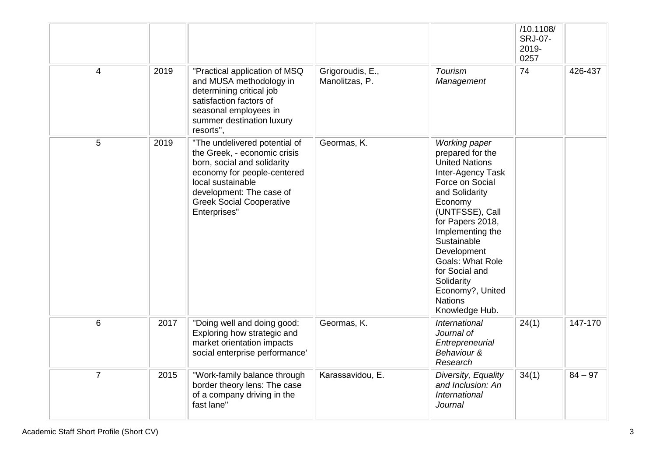|                |      |                                                                                                                                                                                                                                 |                                    |                                                                                                                                                                                                                                                                                                                                                    | /10.1108/<br><b>SRJ-07-</b><br>2019-<br>0257 |           |
|----------------|------|---------------------------------------------------------------------------------------------------------------------------------------------------------------------------------------------------------------------------------|------------------------------------|----------------------------------------------------------------------------------------------------------------------------------------------------------------------------------------------------------------------------------------------------------------------------------------------------------------------------------------------------|----------------------------------------------|-----------|
| $\overline{4}$ | 2019 | "Practical application of MSQ<br>and MUSA methodology in<br>determining critical job<br>satisfaction factors of<br>seasonal employees in<br>summer destination luxury<br>resorts",                                              | Grigoroudis, E.,<br>Manolitzas, P. | <b>Tourism</b><br>Management                                                                                                                                                                                                                                                                                                                       | 74                                           | 426-437   |
| 5              | 2019 | "The undelivered potential of<br>the Greek, - economic crisis<br>born, social and solidarity<br>economy for people-centered<br>local sustainable<br>development: The case of<br><b>Greek Social Cooperative</b><br>Enterprises" | Geormas, K.                        | <b>Working paper</b><br>prepared for the<br><b>United Nations</b><br>Inter-Agency Task<br>Force on Social<br>and Solidarity<br>Economy<br>(UNTFSSE), Call<br>for Papers 2018,<br>Implementing the<br>Sustainable<br>Development<br><b>Goals: What Role</b><br>for Social and<br>Solidarity<br>Economy?, United<br><b>Nations</b><br>Knowledge Hub. |                                              |           |
| 6              | 2017 | "Doing well and doing good:<br>Exploring how strategic and<br>market orientation impacts<br>social enterprise performance'                                                                                                      | Geormas, K.                        | International<br>Journal of<br>Entrepreneurial<br>Behaviour &<br>Research                                                                                                                                                                                                                                                                          | 24(1)                                        | 147-170   |
| $\overline{7}$ | 2015 | "Work-family balance through<br>border theory lens: The case<br>of a company driving in the<br>fast lane"                                                                                                                       | Karassavidou, E.                   | Diversity, Equality<br>and Inclusion: An<br>International<br><b>Journal</b>                                                                                                                                                                                                                                                                        | 34(1)                                        | $84 - 97$ |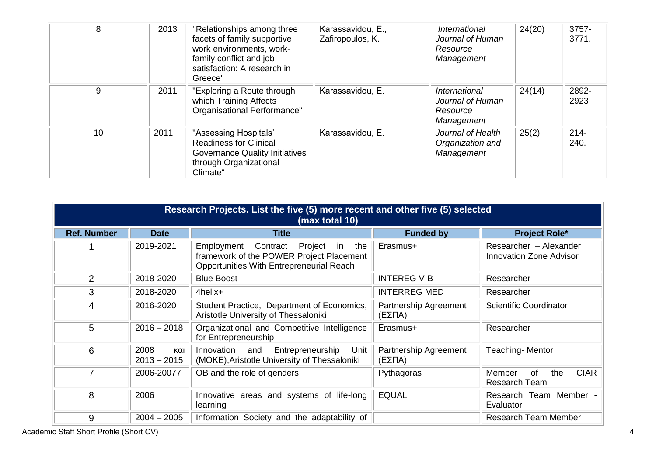| 8  | 2013 | "Relationships among three<br>facets of family supportive<br>work environments, work-<br>family conflict and job<br>satisfaction: A research in<br>Greece" | Karassavidou, E.,<br>Zafiropoulos, K. | <i>International</i><br>Journal of Human<br>Resource<br>Management | 24(20) | 3757-<br>3771.  |
|----|------|------------------------------------------------------------------------------------------------------------------------------------------------------------|---------------------------------------|--------------------------------------------------------------------|--------|-----------------|
| 9  | 2011 | "Exploring a Route through<br>which Training Affects<br>Organisational Performance"                                                                        | Karassavidou, E.                      | International<br>Journal of Human<br>Resource<br>Management        | 24(14) | 2892-<br>2923   |
| 10 | 2011 | "Assessing Hospitals"<br><b>Readiness for Clinical</b><br><b>Governance Quality Initiatives</b><br>through Organizational<br>Climate"                      | Karassavidou, E.                      | Journal of Health<br>Organization and<br>Management                | 25(2)  | $214 -$<br>240. |

|                    | Research Projects. List the five (5) more recent and other five (5) selected<br>(max total 10) |                                                                                                                                        |                                 |                                                            |  |  |  |
|--------------------|------------------------------------------------------------------------------------------------|----------------------------------------------------------------------------------------------------------------------------------------|---------------------------------|------------------------------------------------------------|--|--|--|
| <b>Ref. Number</b> | <b>Date</b>                                                                                    | <b>Title</b>                                                                                                                           | <b>Funded by</b>                | <b>Project Role*</b>                                       |  |  |  |
|                    | 2019-2021                                                                                      | Contract<br>Project<br>in<br>the<br>Employment<br>framework of the POWER Project Placement<br>Opportunities With Entrepreneurial Reach | Erasmus+                        | Researcher - Alexander<br><b>Innovation Zone Advisor</b>   |  |  |  |
| $\overline{2}$     | 2018-2020                                                                                      | <b>Blue Boost</b>                                                                                                                      | <b>INTEREG V-B</b>              | Researcher                                                 |  |  |  |
| 3                  | 2018-2020                                                                                      | 4helix+                                                                                                                                | <b>INTERREG MED</b>             | Researcher                                                 |  |  |  |
| 4                  | 2016-2020                                                                                      | Student Practice, Department of Economics,<br>Aristotle University of Thessaloniki                                                     | Partnership Agreement<br>(ΕΣΠΑ) | Scientific Coordinator                                     |  |  |  |
| 5                  | $2016 - 2018$                                                                                  | Organizational and Competitive Intelligence<br>for Entrepreneurship                                                                    | Erasmus+                        | Researcher                                                 |  |  |  |
| 6                  | 2008<br>και<br>$2013 - 2015$                                                                   | Entrepreneurship<br>Unit<br>Innovation<br>and<br>(MOKE), Aristotle University of Thessaloniki                                          | Partnership Agreement<br>(ΕΣΠΑ) | Teaching-Mentor                                            |  |  |  |
|                    | 2006-20077                                                                                     | OB and the role of genders                                                                                                             | Pythagoras                      | <b>CIAR</b><br>0f<br>Member<br>the<br><b>Research Team</b> |  |  |  |
| 8                  | 2006                                                                                           | Innovative areas and systems of life-long<br>learning                                                                                  | <b>EQUAL</b>                    | Research Team Member -<br>Evaluator                        |  |  |  |
| 9                  | $2004 - 2005$                                                                                  | Information Society and the adaptability of                                                                                            |                                 | <b>Research Team Member</b>                                |  |  |  |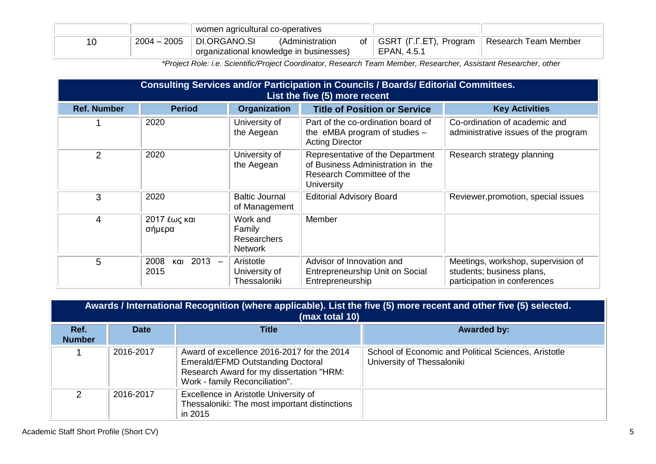|                     | women agricultural co-operatives                        |                 |    |                                       |                      |
|---------------------|---------------------------------------------------------|-----------------|----|---------------------------------------|----------------------|
| $-2005$<br>$2004 -$ | DI.ORGANO.SI<br>organizational knowledge in businesses) | (Administration | of | GSRT (F.F.ET), Program<br>EPAN, 4.5.1 | Research Team Member |

*\*Project Role: i.e. Scientific/Project Coordinator, Research Team Member, Researcher, Assistant Researcher, other*

|                    | Consulting Services and/or Participation in Councils / Boards/ Editorial Committees.<br>List the five (5) more recent |                                                            |                                                                                                                  |                                                                                                 |  |  |  |
|--------------------|-----------------------------------------------------------------------------------------------------------------------|------------------------------------------------------------|------------------------------------------------------------------------------------------------------------------|-------------------------------------------------------------------------------------------------|--|--|--|
| <b>Ref. Number</b> | <b>Period</b>                                                                                                         | <b>Organization</b>                                        | <b>Title of Position or Service</b>                                                                              | <b>Key Activities</b>                                                                           |  |  |  |
|                    | 2020                                                                                                                  | University of<br>the Aegean                                | Part of the co-ordination board of<br>the eMBA program of studies $-$<br><b>Acting Director</b>                  | Co-ordination of academic and<br>administrative issues of the program                           |  |  |  |
| $\overline{2}$     | 2020                                                                                                                  | University of<br>the Aegean                                | Representative of the Department<br>of Business Administration in the<br>Research Committee of the<br>University | Research strategy planning                                                                      |  |  |  |
| 3                  | 2020                                                                                                                  | <b>Baltic Journal</b><br>of Management                     | <b>Editorial Advisory Board</b>                                                                                  | Reviewer, promotion, special issues                                                             |  |  |  |
| $\overline{4}$     | 2017 έως και<br>σήμερα                                                                                                | Work and<br>Family<br><b>Researchers</b><br><b>Network</b> | Member                                                                                                           |                                                                                                 |  |  |  |
| 5                  | 2008<br>$2013 -$<br>και<br>2015                                                                                       | Aristotle<br>University of<br>Thessaloniki                 | Advisor of Innovation and<br>Entrepreneurship Unit on Social<br>Entrepreneurship                                 | Meetings, workshop, supervision of<br>students; business plans,<br>participation in conferences |  |  |  |

|                       | Awards / International Recognition (where applicable). List the five (5) more recent and other five (5) selected.<br>(max total 10) |                                                                                                                                                               |                                                                                    |  |  |  |  |  |
|-----------------------|-------------------------------------------------------------------------------------------------------------------------------------|---------------------------------------------------------------------------------------------------------------------------------------------------------------|------------------------------------------------------------------------------------|--|--|--|--|--|
| Ref.<br><b>Number</b> | <b>Date</b>                                                                                                                         | <b>Title</b>                                                                                                                                                  | <b>Awarded by:</b>                                                                 |  |  |  |  |  |
|                       | 2016-2017                                                                                                                           | Award of excellence 2016-2017 for the 2014<br>Emerald/EFMD Outstanding Doctoral<br>Research Award for my dissertation "HRM:<br>Work - family Reconciliation". | School of Economic and Political Sciences, Aristotle<br>University of Thessaloniki |  |  |  |  |  |
| $\mathcal{P}$         | 2016-2017                                                                                                                           | Excellence in Aristotle University of<br>Thessaloniki: The most important distinctions<br>in 2015                                                             |                                                                                    |  |  |  |  |  |